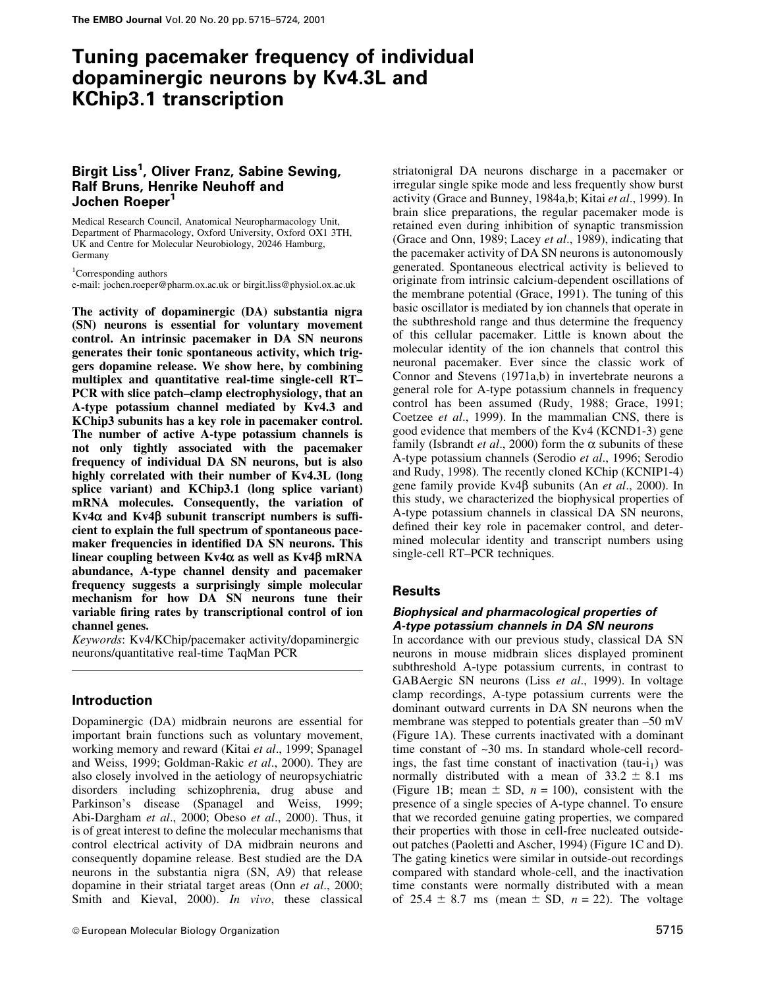# Tuning pacemaker frequency of individual dopaminergic neurons by Kv4.3L and KChip3.1 transcription

## Birgit Liss<sup>1</sup>, Oliver Franz, Sabine Sewing, Ralf Bruns, Henrike Neuhoff and Jochen Roeper<sup>1</sup>

Medical Research Council, Anatomical Neuropharmacology Unit, Department of Pharmacology, Oxford University, Oxford OX1 3TH, UK and Centre for Molecular Neurobiology, 20246 Hamburg, Germany

<sup>1</sup>Corresponding authors

e-mail: jochen.roeper@pharm.ox.ac.uk or birgit.liss@physiol.ox.ac.uk

The activity of dopaminergic (DA) substantia nigra (SN) neurons is essential for voluntary movement control. An intrinsic pacemaker in DA SN neurons generates their tonic spontaneous activity, which triggers dopamine release. We show here, by combining multiplex and quantitative real-time single-cell RT-PCR with slice patch-clamp electrophysiology, that an A-type potassium channel mediated by Kv4.3 and KChip3 subunits has a key role in pacemaker control. The number of active A-type potassium channels is not only tightly associated with the pacemaker frequency of individual DA SN neurons, but is also highly correlated with their number of Kv4.3L (long splice variant) and KChip3.1 (long splice variant) mRNA molecules. Consequently, the variation of  $Kv4\alpha$  and  $Kv4\beta$  subunit transcript numbers is sufficient to explain the full spectrum of spontaneous pacemaker frequencies in identified DA SN neurons. This linear coupling between  $Kv4\alpha$  as well as  $Kv4\beta$  mRNA abundance, A-type channel density and pacemaker frequency suggests a surprisingly simple molecular mechanism for how DA SN neurons tune their variable firing rates by transcriptional control of ion channel genes.

Keywords: Kv4/KChip/pacemaker activity/dopaminergic neurons/quantitative real-time TaqMan PCR

## Introduction

Dopaminergic (DA) midbrain neurons are essential for important brain functions such as voluntary movement, working memory and reward (Kitai et al., 1999; Spanagel and Weiss, 1999; Goldman-Rakic et al., 2000). They are also closely involved in the aetiology of neuropsychiatric disorders including schizophrenia, drug abuse and Parkinson's disease (Spanagel and Weiss, 1999; Abi-Dargham et al., 2000; Obeso et al., 2000). Thus, it is of great interest to define the molecular mechanisms that control electrical activity of DA midbrain neurons and consequently dopamine release. Best studied are the DA neurons in the substantia nigra (SN, A9) that release dopamine in their striatal target areas (Onn et al., 2000; Smith and Kieval, 2000). In vivo, these classical striatonigral DA neurons discharge in a pacemaker or irregular single spike mode and less frequently show burst activity (Grace and Bunney, 1984a,b; Kitai et al., 1999). In brain slice preparations, the regular pacemaker mode is retained even during inhibition of synaptic transmission (Grace and Onn, 1989; Lacey et al., 1989), indicating that the pacemaker activity of DA SN neurons is autonomously generated. Spontaneous electrical activity is believed to originate from intrinsic calcium-dependent oscillations of the membrane potential (Grace, 1991). The tuning of this basic oscillator is mediated by ion channels that operate in the subthreshold range and thus determine the frequency of this cellular pacemaker. Little is known about the molecular identity of the ion channels that control this neuronal pacemaker. Ever since the classic work of Connor and Stevens (1971a,b) in invertebrate neurons a general role for A-type potassium channels in frequency control has been assumed (Rudy, 1988; Grace, 1991; Coetzee et al., 1999). In the mammalian CNS, there is good evidence that members of the Kv4 (KCND1-3) gene family (Isbrandt et al., 2000) form the  $\alpha$  subunits of these A-type potassium channels (Serodio et al., 1996; Serodio and Rudy, 1998). The recently cloned KChip (KCNIP1-4) gene family provide Kv4 $\beta$  subunits (An et al., 2000). In this study, we characterized the biophysical properties of A-type potassium channels in classical DA SN neurons, defined their key role in pacemaker control, and determined molecular identity and transcript numbers using single-cell RT-PCR techniques.

#### Results

#### Biophysical and pharmacological properties of A-type potassium channels in DA SN neurons

In accordance with our previous study, classical DA SN neurons in mouse midbrain slices displayed prominent subthreshold A-type potassium currents, in contrast to GABAergic SN neurons (Liss et al., 1999). In voltage clamp recordings, A-type potassium currents were the dominant outward currents in DA SN neurons when the membrane was stepped to potentials greater than  $-50$  mV (Figure 1A). These currents inactivated with a dominant time constant of ~30 ms. In standard whole-cell recordings, the fast time constant of inactivation  $(tau-i<sub>1</sub>)$  was normally distributed with a mean of  $33.2 \pm 8.1$  ms (Figure 1B; mean  $\pm$  SD,  $n = 100$ ), consistent with the presence of a single species of A-type channel. To ensure that we recorded genuine gating properties, we compared their properties with those in cell-free nucleated outsideout patches (Paoletti and Ascher, 1994) (Figure 1C and D). The gating kinetics were similar in outside-out recordings compared with standard whole-cell, and the inactivation time constants were normally distributed with a mean of 25.4  $\pm$  8.7 ms (mean  $\pm$  SD, *n* = 22). The voltage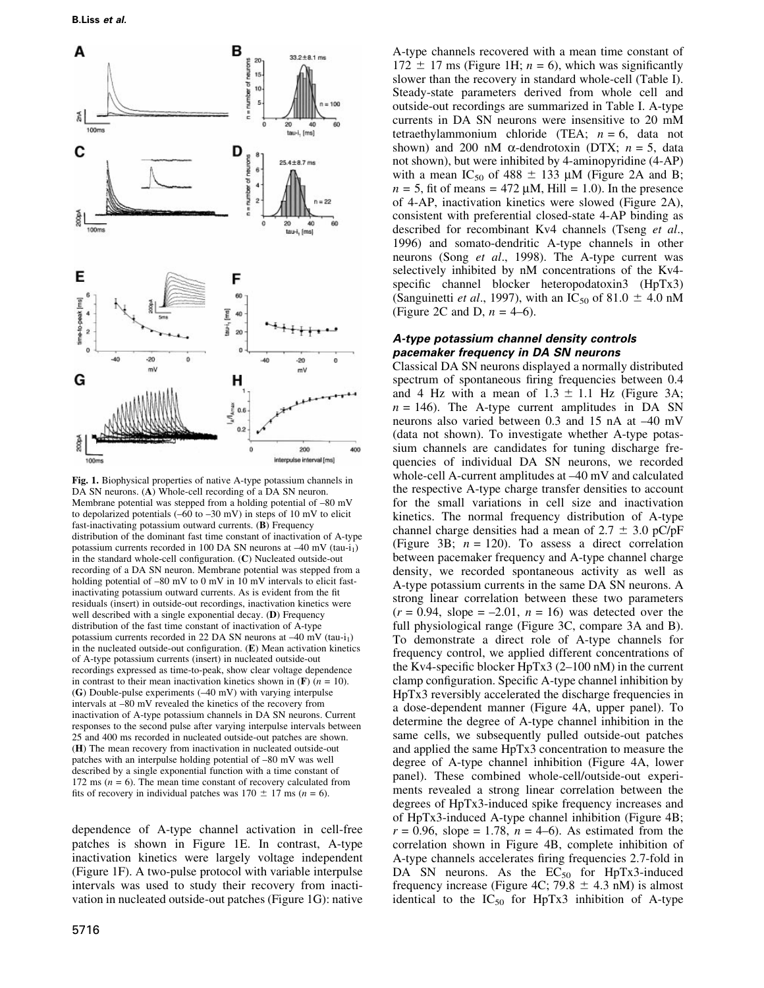

Fig. 1. Biophysical properties of native A-type potassium channels in DA SN neurons. (A) Whole-cell recording of a DA SN neuron. Membrane potential was stepped from a holding potential of  $-80$  mV to depolarized potentials  $(-60 \text{ to } -30 \text{ mV})$  in steps of 10 mV to elicit fast-inactivating potassium outward currents. (B) Frequency distribution of the dominant fast time constant of inactivation of A-type potassium currents recorded in 100 DA SN neurons at  $-40$  mV (tau-i<sub>1</sub>) in the standard whole-cell configuration.  $(C)$  Nucleated outside-out recording of a DA SN neuron. Membrane potential was stepped from a holding potential of  $-80$  mV to  $0$  mV in 10 mV intervals to elicit fastinactivating potassium outward currents. As is evident from the fit residuals (insert) in outside-out recordings, inactivation kinetics were well described with a single exponential decay. (D) Frequency distribution of the fast time constant of inactivation of A-type potassium currents recorded in 22 DA SN neurons at  $-40$  mV (tau-i<sub>1</sub>) in the nucleated outside-out configuration.  $(E)$  Mean activation kinetics of A-type potassium currents (insert) in nucleated outside-out recordings expressed as time-to-peak, show clear voltage dependence in contrast to their mean inactivation kinetics shown in  $(F)$  ( $n = 10$ ). (G) Double-pulse experiments  $(-40 \text{ mV})$  with varying interpulse intervals at -80 mV revealed the kinetics of the recovery from inactivation of A-type potassium channels in DA SN neurons. Current responses to the second pulse after varying interpulse intervals between 25 and 400 ms recorded in nucleated outside-out patches are shown. (H) The mean recovery from inactivation in nucleated outside-out patches with an interpulse holding potential of  $-80$  mV was well described by a single exponential function with a time constant of 172 ms ( $n = 6$ ). The mean time constant of recovery calculated from fits of recovery in individual patches was  $170 \pm 17$  ms (n = 6).

dependence of A-type channel activation in cell-free patches is shown in Figure 1E. In contrast, A-type inactivation kinetics were largely voltage independent (Figure 1F). A two-pulse protocol with variable interpulse intervals was used to study their recovery from inactivation in nucleated outside-out patches (Figure 1G): native

A-type channels recovered with a mean time constant of  $172 \pm 17$  ms (Figure 1H;  $n = 6$ ), which was significantly slower than the recovery in standard whole-cell (Table I). Steady-state parameters derived from whole cell and outside-out recordings are summarized in Table I. A-type currents in DA SN neurons were insensitive to 20 mM tetraethylammonium chloride (TEA;  $n = 6$ , data not shown) and 200 nM  $\alpha$ -dendrotoxin (DTX;  $n = 5$ , data not shown), but were inhibited by 4-aminopyridine (4-AP) with a mean IC<sub>50</sub> of 488  $\pm$  133 µM (Figure 2A and B;  $n = 5$ , fit of means = 472  $\mu$ M, Hill = 1.0). In the presence of 4-AP, inactivation kinetics were slowed (Figure 2A), consistent with preferential closed-state 4-AP binding as described for recombinant Kv4 channels (Tseng et al., 1996) and somato-dendritic A-type channels in other neurons (Song et al., 1998). The A-type current was selectively inhibited by nM concentrations of the Kv4 specific channel blocker heteropodatoxin3 (HpTx3) (Sanguinetti *et al.*, 1997), with an IC<sub>50</sub> of 81.0  $\pm$  4.0 nM (Figure 2C and D,  $n = 4-6$ ).

#### A-type potassium channel density controls pacemaker frequency in DA SN neurons

Classical DA SN neurons displayed a normally distributed spectrum of spontaneous firing frequencies between 0.4 and 4 Hz with a mean of  $1.3 \pm 1.1$  Hz (Figure 3A;  $n = 146$ ). The A-type current amplitudes in DA SN neurons also varied between 0.3 and 15 nA at  $-40$  mV (data not shown). To investigate whether A-type potassium channels are candidates for tuning discharge frequencies of individual DA SN neurons, we recorded whole-cell A-current amplitudes at  $-40$  mV and calculated the respective A-type charge transfer densities to account for the small variations in cell size and inactivation kinetics. The normal frequency distribution of A-type channel charge densities had a mean of  $2.7 \pm 3.0$  pC/pF (Figure 3B;  $n = 120$ ). To assess a direct correlation between pacemaker frequency and A-type channel charge density, we recorded spontaneous activity as well as A-type potassium currents in the same DA SN neurons. A strong linear correlation between these two parameters  $(r = 0.94,$  slope  $= -2.01, n = 16$ ) was detected over the full physiological range (Figure 3C, compare 3A and B). To demonstrate a direct role of A-type channels for frequency control, we applied different concentrations of the Kv4-specific blocker HpTx3  $(2-100 \text{ nM})$  in the current clamp configuration. Specific A-type channel inhibition by HpTx3 reversibly accelerated the discharge frequencies in a dose-dependent manner (Figure 4A, upper panel). To determine the degree of A-type channel inhibition in the same cells, we subsequently pulled outside-out patches and applied the same HpTx3 concentration to measure the degree of A-type channel inhibition (Figure 4A, lower panel). These combined whole-cell/outside-out experiments revealed a strong linear correlation between the degrees of HpTx3-induced spike frequency increases and of HpTx3-induced A-type channel inhibition (Figure 4B;  $r = 0.96$ , slope = 1.78,  $n = 4-6$ ). As estimated from the correlation shown in Figure 4B, complete inhibition of A-type channels accelerates firing frequencies 2.7-fold in DA SN neurons. As the  $EC_{50}$  for HpTx3-induced frequency increase (Figure 4C; 79.8  $\pm$  4.3 nM) is almost identical to the  $IC_{50}$  for HpTx3 inhibition of A-type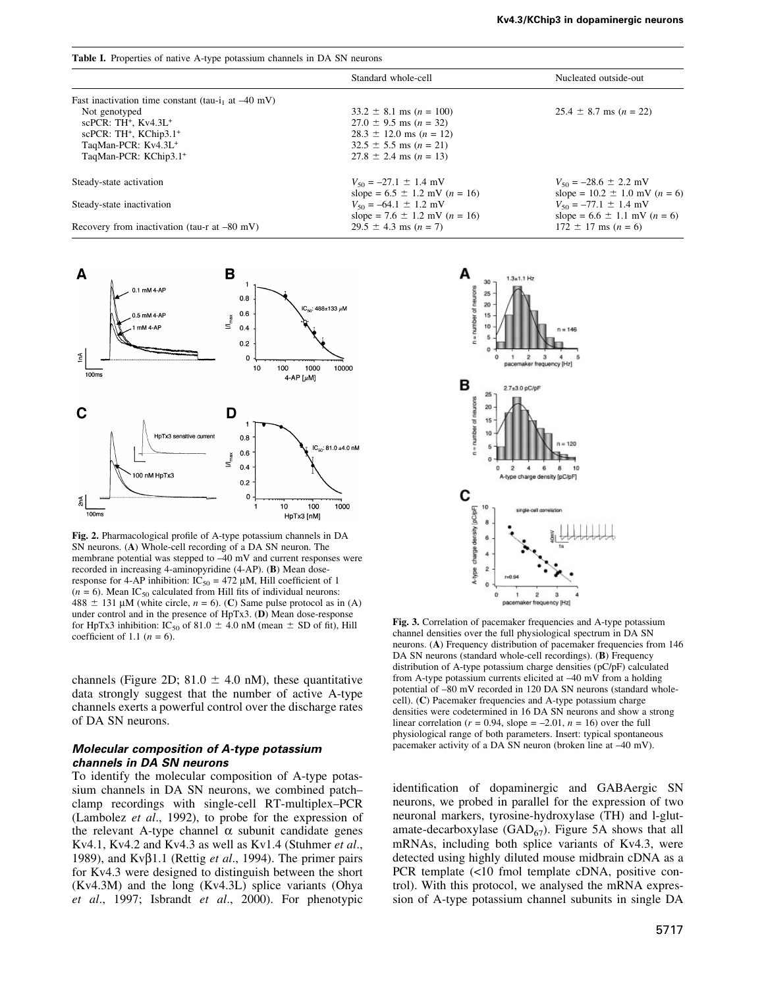| <b>Table I.</b> Properties of native A-type potassium channels in DA SN neurons |                                                                          |                                                                          |
|---------------------------------------------------------------------------------|--------------------------------------------------------------------------|--------------------------------------------------------------------------|
|                                                                                 | Standard whole-cell                                                      | Nucleated outside-out                                                    |
| Fast inactivation time constant (tau-i <sub>1</sub> at $-40$ mV)                |                                                                          |                                                                          |
| Not genotyped                                                                   | $33.2 \pm 8.1$ ms (n = 100)                                              | $25.4 \pm 8.7$ ms (n = 22)                                               |
| scPCR: $TH^+$ , $Kv4.3L^+$                                                      | $27.0 \pm 9.5$ ms (n = 32)                                               |                                                                          |
| scPCR: $TH^+$ , KChip $3.1^+$                                                   | $28.3 \pm 12.0$ ms (n = 12)                                              |                                                                          |
| TaqMan-PCR: Kv4.3L <sup>+</sup>                                                 | $32.5 \pm 5.5$ ms (n = 21)                                               |                                                                          |
| TaqMan-PCR: KChip3.1+                                                           | $27.8 \pm 2.4$ ms (n = 13)                                               |                                                                          |
| Steady-state activation                                                         | $V_{50} = -27.1 \pm 1.4$ mV<br>slope = $6.5 \pm 1.2$ mV ( <i>n</i> = 16) | $V_{50} = -28.6 \pm 2.2$ mV<br>slope = $10.2 \pm 1.0$ mV ( <i>n</i> = 6) |
| Steady-state inactivation                                                       | $V_{50} = -64.1 \pm 1.2$ mV<br>slope = $7.6 \pm 1.2$ mV ( <i>n</i> = 16) | $V_{50} = -77.1 \pm 1.4$ mV<br>slope = $6.6 \pm 1.1$ mV $(n = 6)$        |
| Recovery from inactivation (tau-r at $-80$ mV)                                  | $29.5 \pm 4.3$ ms (n = 7)                                                | $172 \pm 17$ ms $(n = 6)$                                                |



Fig. 2. Pharmacological profile of A-type potassium channels in DA SN neurons. (A) Whole-cell recording of a DA SN neuron. The membrane potential was stepped to  $-40$  mV and current responses were recorded in increasing 4-aminopyridine (4-AP). (B) Mean doseresponse for 4-AP inhibition:  $IC_{50} = 472 \mu M$ , Hill coefficient of 1  $(n = 6)$ . Mean IC<sub>50</sub> calculated from Hill fits of individual neurons:  $488 \pm 131 \text{ µM}$  (white circle,  $n = 6$ ). (C) Same pulse protocol as in (A) under control and in the presence of HpTx3. (D) Mean dose-response for HpTx3 inhibition: IC<sub>50</sub> of 81.0  $\pm$  4.0 nM (mean  $\pm$  SD of fit), Hill coefficient of 1.1 ( $n = 6$ ).

channels (Figure 2D;  $81.0 \pm 4.0$  nM), these quantitative data strongly suggest that the number of active A-type channels exerts a powerful control over the discharge rates of DA SN neurons.

#### Molecular composition of A-type potassium channels in DA SN neurons

To identify the molecular composition of A-type potassium channels in DA SN neurons, we combined patchclamp recordings with single-cell RT-multiplex-PCR (Lambolez et al., 1992), to probe for the expression of the relevant A-type channel  $\alpha$  subunit candidate genes Kv4.1, Kv4.2 and Kv4.3 as well as Kv1.4 (Stuhmer et al., 1989), and Kv $\beta$ 1.1 (Rettig *et al.*, 1994). The primer pairs for Kv4.3 were designed to distinguish between the short (Kv4.3M) and the long (Kv4.3L) splice variants (Ohya et al., 1997; Isbrandt et al., 2000). For phenotypic



Fig. 3. Correlation of pacemaker frequencies and A-type potassium channel densities over the full physiological spectrum in DA SN neurons. (A) Frequency distribution of pacemaker frequencies from 146 DA SN neurons (standard whole-cell recordings). **(B)** Frequency distribution of A-type potassium charge densities (pC/pF) calculated from A-type potassium currents elicited at  $-40$  mV from a holding potential of -80 mV recorded in 120 DA SN neurons (standard wholecell). (C) Pacemaker frequencies and A-type potassium charge densities were codetermined in 16 DA SN neurons and show a strong linear correlation ( $r = 0.94$ , slope = -2.01,  $n = 16$ ) over the full physiological range of both parameters. Insert: typical spontaneous pacemaker activity of a DA SN neuron (broken line at  $-40$  mV).

identification of dopaminergic and GABAergic SN neurons, we probed in parallel for the expression of two neuronal markers, tyrosine-hydroxylase (TH) and l-glutamate-decarboxylase  $(GAD<sub>67</sub>)$ . Figure 5A shows that all mRNAs, including both splice variants of Kv4.3, were detected using highly diluted mouse midbrain cDNA as a PCR template (<10 fmol template cDNA, positive control). With this protocol, we analysed the mRNA expression of A-type potassium channel subunits in single DA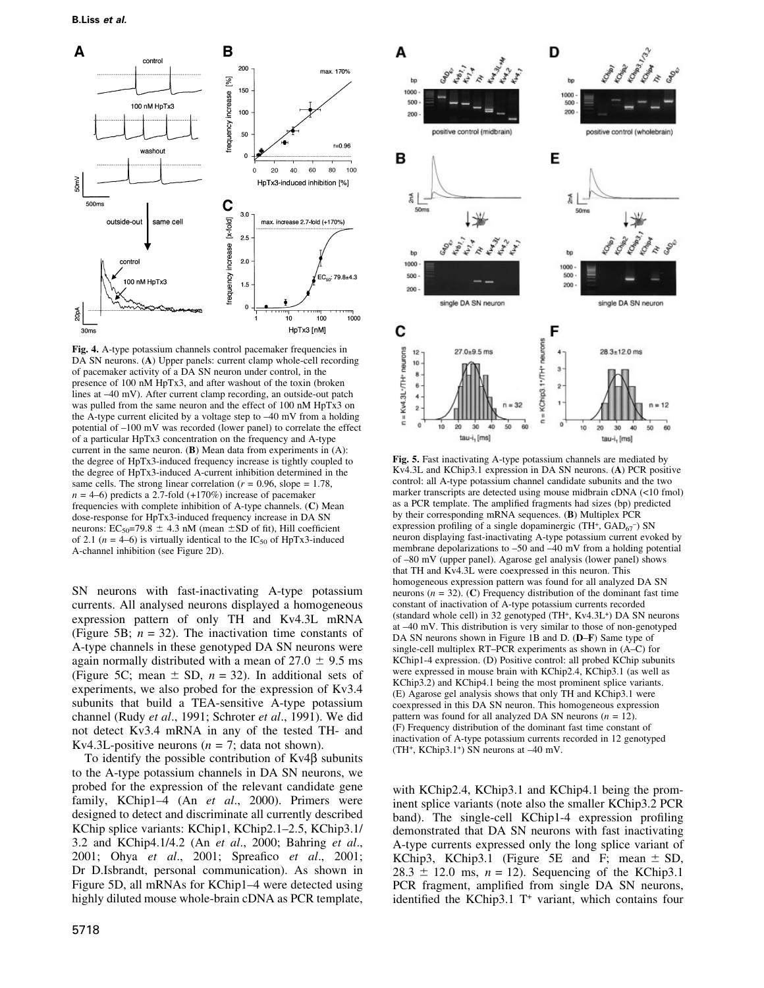

Fig. 4. A-type potassium channels control pacemaker frequencies in DA SN neurons. (A) Upper panels: current clamp whole-cell recording of pacemaker activity of a DA SN neuron under control, in the presence of 100 nM HpTx3, and after washout of the toxin (broken lines at  $-40$  mV). After current clamp recording, an outside-out patch was pulled from the same neuron and the effect of 100 nM HpTx3 on the A-type current elicited by a voltage step to  $-40$  mV from a holding potential of  $-100$  mV was recorded (lower panel) to correlate the effect of a particular HpTx3 concentration on the frequency and A-type current in the same neuron. (B) Mean data from experiments in (A): the degree of HpTx3-induced frequency increase is tightly coupled to the degree of HpTx3-induced A-current inhibition determined in the same cells. The strong linear correlation ( $r = 0.96$ , slope = 1.78,  $n = 4-6$ ) predicts a 2.7-fold (+170%) increase of pacemaker frequencies with complete inhibition of A-type channels. (C) Mean dose-response for HpTx3-induced frequency increase in DA SN neurons:  $EC_{50} = 79.8 \pm 4.3$  nM (mean  $\pm$ SD of fit), Hill coefficient of 2.1 ( $n = 4-6$ ) is virtually identical to the IC<sub>50</sub> of HpTx3-induced A-channel inhibition (see Figure 2D).

SN neurons with fast-inactivating A-type potassium currents. All analysed neurons displayed a homogeneous expression pattern of only TH and Kv4.3L mRNA (Figure 5B;  $n = 32$ ). The inactivation time constants of A-type channels in these genotyped DA SN neurons were again normally distributed with a mean of  $27.0 \pm 9.5$  ms (Figure 5C; mean  $\pm$  SD,  $n = 32$ ). In additional sets of experiments, we also probed for the expression of Kv3.4 subunits that build a TEA-sensitive A-type potassium channel (Rudy et al., 1991; Schroter et al., 1991). We did not detect Kv3.4 mRNA in any of the tested TH- and Kv4.3L-positive neurons ( $n = 7$ ; data not shown).

To identify the possible contribution of  $Kv4\beta$  subunits to the A-type potassium channels in DA SN neurons, we probed for the expression of the relevant candidate gene family, KChip1-4 (An et al., 2000). Primers were designed to detect and discriminate all currently described KChip splice variants: KChip1, KChip2.1–2.5, KChip3.1/ 3.2 and KChip4.1/4.2 (An et al., 2000; Bahring et al., 2001; Ohya et al., 2001; Spreafico et al., 2001; Dr D.Isbrandt, personal communication). As shown in Figure 5D, all mRNAs for KChip1–4 were detected using highly diluted mouse whole-brain cDNA as PCR template,



Fig. 5. Fast inactivating A-type potassium channels are mediated by Kv4.3L and KChip3.1 expression in DA SN neurons. (A) PCR positive control: all A-type potassium channel candidate subunits and the two marker transcripts are detected using mouse midbrain cDNA (<10 fmol) as a PCR template. The amplified fragments had sizes (bp) predicted by their corresponding mRNA sequences. (B) Multiplex PCR expression profiling of a single dopaminergic (TH+,  $GAD_{67}$ ) SN neuron displaying fast-inactivating A-type potassium current evoked by membrane depolarizations to  $-50$  and  $-40$  mV from a holding potential of ±80 mV (upper panel). Agarose gel analysis (lower panel) shows that TH and Kv4.3L were coexpressed in this neuron. This homogeneous expression pattern was found for all analyzed DA SN neurons ( $n = 32$ ). (C) Frequency distribution of the dominant fast time constant of inactivation of A-type potassium currents recorded (standard whole cell) in 32 genotyped (TH+, Kv4.3L+) DA SN neurons at -40 mV. This distribution is very similar to those of non-genotyped DA SN neurons shown in Figure 1B and D. (D-F) Same type of single-cell multiplex  $RT-PCR$  experiments as shown in  $(A-C)$  for KChip1-4 expression. (D) Positive control: all probed KChip subunits were expressed in mouse brain with KChip2.4, KChip3.1 (as well as KChip3.2) and KChip4.1 being the most prominent splice variants. (E) Agarose gel analysis shows that only TH and KChip3.1 were coexpressed in this DA SN neuron. This homogeneous expression pattern was found for all analyzed DA SN neurons  $(n = 12)$ . (F) Frequency distribution of the dominant fast time constant of inactivation of A-type potassium currents recorded in 12 genotyped (TH<sup>+</sup>, KChip3.1<sup>+</sup>) SN neurons at  $-40$  mV.

with KChip2.4, KChip3.1 and KChip4.1 being the prominent splice variants (note also the smaller KChip3.2 PCR band). The single-cell KChip1-4 expression profiling demonstrated that DA SN neurons with fast inactivating A-type currents expressed only the long splice variant of KChip3, KChip3.1 (Figure 5E and F; mean  $\pm$  SD,  $28.3 \pm 12.0$  ms,  $n = 12$ ). Sequencing of the KChip3.1 PCR fragment, amplified from single DA SN neurons, identified the KChip3.1  $T^+$  variant, which contains four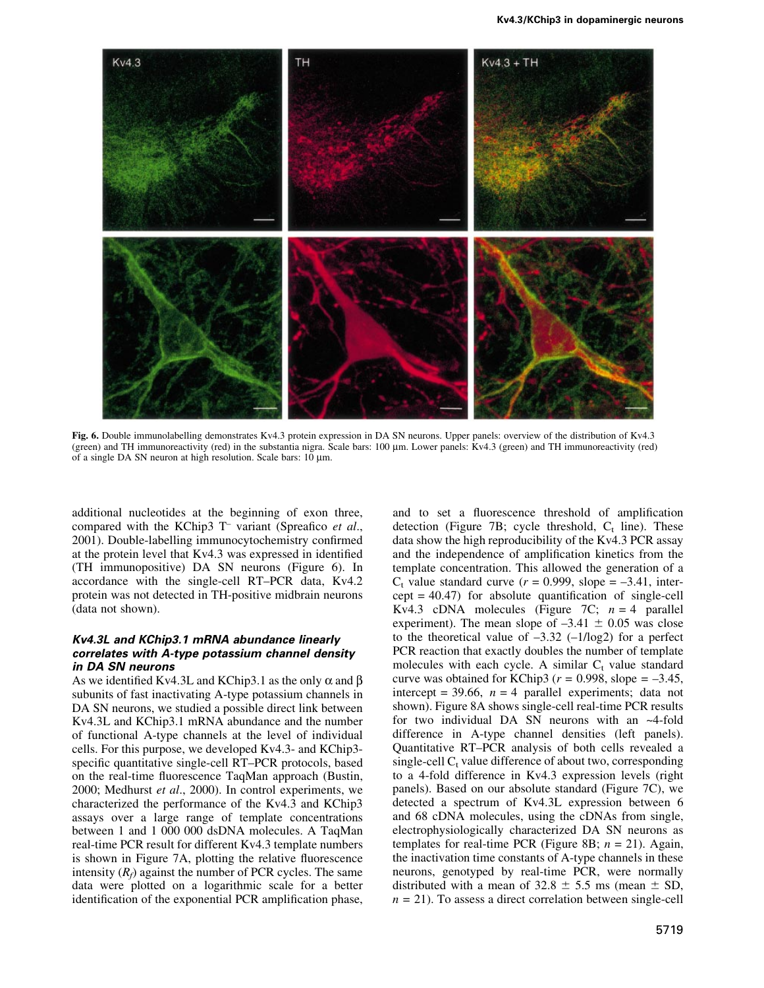

Fig. 6. Double immunolabelling demonstrates Kv4.3 protein expression in DA SN neurons. Upper panels: overview of the distribution of Kv4.3 (green) and TH immunoreactivity (red) in the substantia nigra. Scale bars: 100  $\mu$ m. Lower panels: Kv4.3 (green) and TH immunoreactivity (red) of a single DA SN neuron at high resolution. Scale bars:  $10 \mu m$ .

additional nucleotides at the beginning of exon three, compared with the KChip3 T<sup>-</sup> variant (Spreafico et al., 2001). Double-labelling immunocytochemistry confirmed at the protein level that Kv4.3 was expressed in identified (TH immunopositive) DA SN neurons (Figure 6). In accordance with the single-cell RT-PCR data, Kv4.2 protein was not detected in TH-positive midbrain neurons (data not shown).

#### Kv4.3L and KChip3.1 mRNA abundance linearly correlates with A-type potassium channel density in DA SN neurons

As we identified Kv4.3L and KChip3.1 as the only  $\alpha$  and  $\beta$ subunits of fast inactivating A-type potassium channels in DA SN neurons, we studied a possible direct link between Kv4.3L and KChip3.1 mRNA abundance and the number of functional A-type channels at the level of individual cells. For this purpose, we developed Kv4.3- and KChip3 specific quantitative single-cell RT-PCR protocols, based on the real-time fluorescence TaqMan approach (Bustin, 2000; Medhurst et al., 2000). In control experiments, we characterized the performance of the Kv4.3 and KChip3 assays over a large range of template concentrations between 1 and 1 000 000 dsDNA molecules. A TaqMan real-time PCR result for different Kv4.3 template numbers is shown in Figure 7A, plotting the relative fluorescence intensity  $(R_f)$  against the number of PCR cycles. The same data were plotted on a logarithmic scale for a better identification of the exponential PCR amplification phase, and to set a fluorescence threshold of amplification detection (Figure 7B; cycle threshold,  $C_t$  line). These data show the high reproducibility of the Kv4.3 PCR assay and the independence of amplification kinetics from the template concentration. This allowed the generation of a  $C_t$  value standard curve ( $r = 0.999$ , slope = -3.41, inter $cept = 40.47$  for absolute quantification of single-cell Kv4.3 cDNA molecules (Figure 7C;  $n = 4$  parallel experiment). The mean slope of  $-3.41 \pm 0.05$  was close to the theoretical value of  $-3.32$  ( $-1/\log 2$ ) for a perfect PCR reaction that exactly doubles the number of template molecules with each cycle. A similar  $C_t$  value standard curve was obtained for KChip3 ( $r = 0.998$ , slope = -3.45, intercept = 39.66,  $n = 4$  parallel experiments; data not shown). Figure 8A shows single-cell real-time PCR results for two individual DA SN neurons with an ~4-fold difference in A-type channel densities (left panels). Quantitative RT-PCR analysis of both cells revealed a single-cell  $C_t$  value difference of about two, corresponding to a 4-fold difference in Kv4.3 expression levels (right panels). Based on our absolute standard (Figure 7C), we detected a spectrum of Kv4.3L expression between 6 and 68 cDNA molecules, using the cDNAs from single, electrophysiologically characterized DA SN neurons as templates for real-time PCR (Figure 8B;  $n = 21$ ). Again, the inactivation time constants of A-type channels in these neurons, genotyped by real-time PCR, were normally distributed with a mean of  $32.8 \pm 5.5$  ms (mean  $\pm$  SD,  $n = 21$ ). To assess a direct correlation between single-cell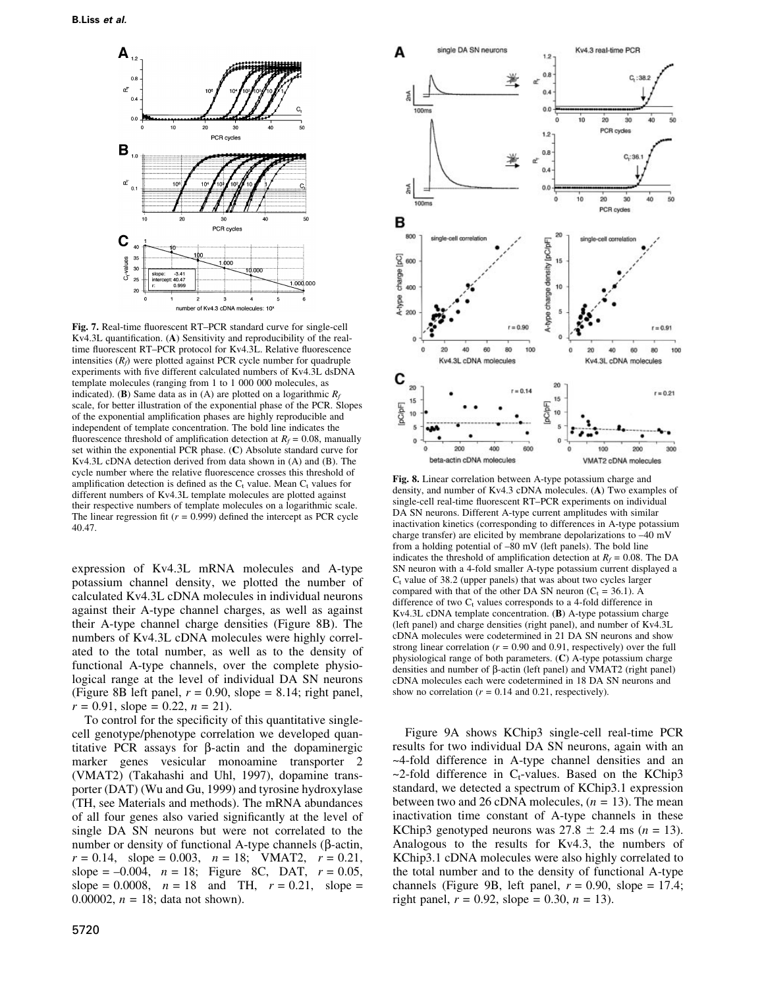

Fig. 7. Real-time fluorescent RT-PCR standard curve for single-cell Kv4.3L quantification.  $(A)$  Sensitivity and reproducibility of the realtime fluorescent RT-PCR protocol for Kv4.3L. Relative fluorescence intensities  $(R_f)$  were plotted against PCR cycle number for quadruple experiments with five different calculated numbers of Kv4.3L dsDNA template molecules (ranging from 1 to 1 000 000 molecules, as indicated). (B) Same data as in (A) are plotted on a logarithmic  $R_f$ scale, for better illustration of the exponential phase of the PCR. Slopes of the exponential amplification phases are highly reproducible and independent of template concentration. The bold line indicates the fluorescence threshold of amplification detection at  $R_f = 0.08$ , manually set within the exponential PCR phase. (C) Absolute standard curve for Kv4.3L cDNA detection derived from data shown in (A) and (B). The cycle number where the relative fluorescence crosses this threshold of amplification detection is defined as the  $C_t$  value. Mean  $C_t$  values for different numbers of Kv4.3L template molecules are plotted against their respective numbers of template molecules on a logarithmic scale. The linear regression fit ( $r = 0.999$ ) defined the intercept as PCR cycle 40.47.

expression of Kv4.3L mRNA molecules and A-type potassium channel density, we plotted the number of calculated Kv4.3L cDNA molecules in individual neurons against their A-type channel charges, as well as against their A-type channel charge densities (Figure 8B). The numbers of Kv4.3L cDNA molecules were highly correlated to the total number, as well as to the density of functional A-type channels, over the complete physiological range at the level of individual DA SN neurons (Figure 8B left panel,  $r = 0.90$ , slope = 8.14; right panel,  $r = 0.91$ , slope = 0.22,  $n = 21$ ).

To control for the specificity of this quantitative singlecell genotype/phenotype correlation we developed quantitative PCR assays for  $\beta$ -actin and the dopaminergic marker genes vesicular monoamine transporter 2 (VMAT2) (Takahashi and Uhl, 1997), dopamine transporter (DAT) (Wu and Gu, 1999) and tyrosine hydroxylase (TH, see Materials and methods). The mRNA abundances of all four genes also varied significantly at the level of single DA SN neurons but were not correlated to the number or density of functional A-type channels ( $\beta$ -actin,  $r = 0.14$ , slope = 0.003,  $n = 18$ ; VMAT2,  $r = 0.21$ , slope =  $-0.004$ ,  $n = 18$ ; Figure 8C, DAT,  $r = 0.05$ , slope = 0.0008,  $n = 18$  and TH,  $r = 0.21$ , slope = 0.00002,  $n = 18$ ; data not shown).



Fig. 8. Linear correlation between A-type potassium charge and density, and number of Kv4.3 cDNA molecules. (A) Two examples of single-cell real-time fluorescent RT-PCR experiments on individual DA SN neurons. Different A-type current amplitudes with similar inactivation kinetics (corresponding to differences in A-type potassium charge transfer) are elicited by membrane depolarizations to  $-40$  mV from a holding potential of  $-80$  mV (left panels). The bold line indicates the threshold of amplification detection at  $R_f = 0.08$ . The DA SN neuron with a 4-fold smaller A-type potassium current displayed a  $C<sub>t</sub>$  value of 38.2 (upper panels) that was about two cycles larger compared with that of the other DA SN neuron ( $C_t$  = 36.1). A difference of two  $C_t$  values corresponds to a 4-fold difference in Kv4.3L cDNA template concentration. (B) A-type potassium charge (left panel) and charge densities (right panel), and number of Kv4.3L cDNA molecules were codetermined in 21 DA SN neurons and show strong linear correlation ( $r = 0.90$  and 0.91, respectively) over the full physiological range of both parameters. (C) A-type potassium charge densities and number of  $\beta$ -actin (left panel) and VMAT2 (right panel) cDNA molecules each were codetermined in 18 DA SN neurons and show no correlation ( $r = 0.14$  and 0.21, respectively).

Figure 9A shows KChip3 single-cell real-time PCR results for two individual DA SN neurons, again with an ~4-fold difference in A-type channel densities and an  $\sim$ 2-fold difference in C<sub>t</sub>-values. Based on the KChip3 standard, we detected a spectrum of KChip3.1 expression between two and 26 cDNA molecules,  $(n = 13)$ . The mean inactivation time constant of A-type channels in these KChip3 genotyped neurons was  $27.8 \pm 2.4$  ms (n = 13). Analogous to the results for Kv4.3, the numbers of KChip3.1 cDNA molecules were also highly correlated to the total number and to the density of functional A-type channels (Figure 9B, left panel,  $r = 0.90$ , slope = 17.4; right panel,  $r = 0.92$ , slope = 0.30,  $n = 13$ ).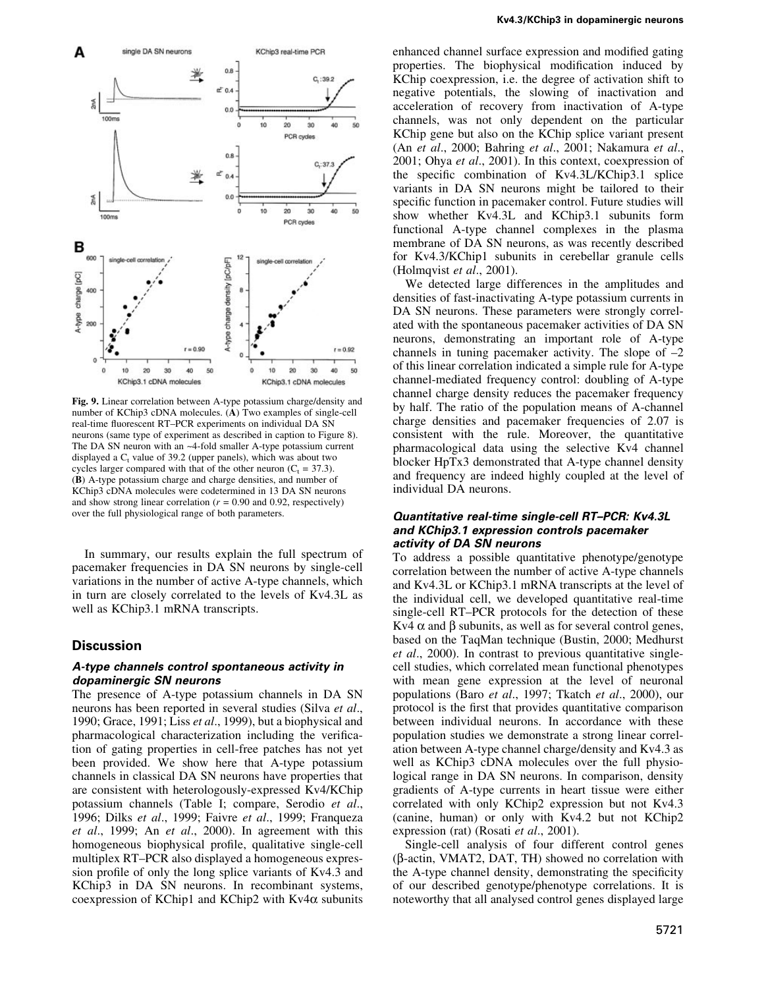

Fig. 9. Linear correlation between A-type potassium charge/density and number of KChip3 cDNA molecules. (A) Two examples of single-cell real-time fluorescent RT-PCR experiments on individual DA SN neurons (same type of experiment as described in caption to Figure 8). The DA SN neuron with an ~4-fold smaller A-type potassium current displayed a  $C_t$  value of 39.2 (upper panels), which was about two cycles larger compared with that of the other neuron  $(C_t = 37.3)$ . (B) A-type potassium charge and charge densities, and number of KChip3 cDNA molecules were codetermined in 13 DA SN neurons and show strong linear correlation ( $r = 0.90$  and 0.92, respectively) over the full physiological range of both parameters.

In summary, our results explain the full spectrum of pacemaker frequencies in DA SN neurons by single-cell variations in the number of active A-type channels, which in turn are closely correlated to the levels of Kv4.3L as well as KChip3.1 mRNA transcripts.

#### **Discussion**

#### A-type channels control spontaneous activity in dopaminergic SN neurons

The presence of A-type potassium channels in DA SN neurons has been reported in several studies (Silva et al., 1990; Grace, 1991; Liss et al., 1999), but a biophysical and pharmacological characterization including the verification of gating properties in cell-free patches has not yet been provided. We show here that A-type potassium channels in classical DA SN neurons have properties that are consistent with heterologously-expressed Kv4/KChip potassium channels (Table I; compare, Serodio et al., 1996; Dilks et al., 1999; Faivre et al., 1999; Franqueza et al., 1999; An et al., 2000). In agreement with this homogeneous biophysical profile, qualitative single-cell multiplex RT-PCR also displayed a homogeneous expression profile of only the long splice variants of Kv4.3 and KChip3 in DA SN neurons. In recombinant systems, coexpression of KChip1 and KChip2 with Kv4 $\alpha$  subunits

enhanced channel surface expression and modified gating properties. The biophysical modification induced by KChip coexpression, i.e. the degree of activation shift to negative potentials, the slowing of inactivation and acceleration of recovery from inactivation of A-type channels, was not only dependent on the particular KChip gene but also on the KChip splice variant present (An et al., 2000; Bahring et al., 2001; Nakamura et al., 2001; Ohya et al., 2001). In this context, coexpression of the specific combination of Kv4.3L/KChip3.1 splice variants in DA SN neurons might be tailored to their specific function in pacemaker control. Future studies will show whether Kv4.3L and KChip3.1 subunits form functional A-type channel complexes in the plasma membrane of DA SN neurons, as was recently described for Kv4.3/KChip1 subunits in cerebellar granule cells (Holmqvist et al., 2001).

We detected large differences in the amplitudes and densities of fast-inactivating A-type potassium currents in DA SN neurons. These parameters were strongly correlated with the spontaneous pacemaker activities of DA SN neurons, demonstrating an important role of A-type channels in tuning pacemaker activity. The slope of  $-2$ of this linear correlation indicated a simple rule for A-type channel-mediated frequency control: doubling of A-type channel charge density reduces the pacemaker frequency by half. The ratio of the population means of A-channel charge densities and pacemaker frequencies of 2.07 is consistent with the rule. Moreover, the quantitative pharmacological data using the selective Kv4 channel blocker HpTx3 demonstrated that A-type channel density and frequency are indeed highly coupled at the level of individual DA neurons.

#### Quantitative real-time single-cell RT-PCR: Kv4.3L and KChip3.1 expression controls pacemaker activity of DA SN neurons

To address a possible quantitative phenotype/genotype correlation between the number of active A-type channels and Kv4.3L or KChip3.1 mRNA transcripts at the level of the individual cell, we developed quantitative real-time single-cell RT-PCR protocols for the detection of these Kv4  $\alpha$  and  $\beta$  subunits, as well as for several control genes, based on the TaqMan technique (Bustin, 2000; Medhurst et al., 2000). In contrast to previous quantitative singlecell studies, which correlated mean functional phenotypes with mean gene expression at the level of neuronal populations (Baro et al., 1997; Tkatch et al., 2000), our protocol is the first that provides quantitative comparison between individual neurons. In accordance with these population studies we demonstrate a strong linear correlation between A-type channel charge/density and Kv4.3 as well as KChip3 cDNA molecules over the full physiological range in DA SN neurons. In comparison, density gradients of A-type currents in heart tissue were either correlated with only KChip2 expression but not Kv4.3 (canine, human) or only with Kv4.2 but not KChip2 expression (rat) (Rosati et al., 2001).

Single-cell analysis of four different control genes  $(\beta$ -actin, VMAT2, DAT, TH) showed no correlation with the A-type channel density, demonstrating the specificity of our described genotype/phenotype correlations. It is noteworthy that all analysed control genes displayed large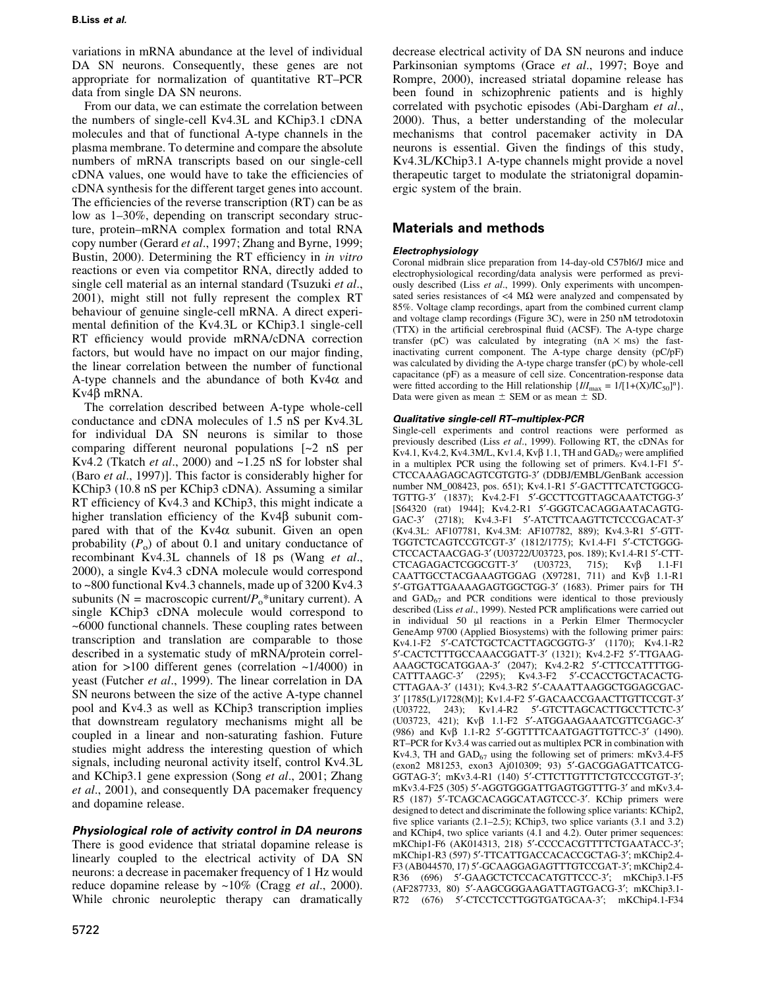variations in mRNA abundance at the level of individual DA SN neurons. Consequently, these genes are not appropriate for normalization of quantitative RT-PCR data from single DA SN neurons.

From our data, we can estimate the correlation between the numbers of single-cell Kv4.3L and KChip3.1 cDNA molecules and that of functional A-type channels in the plasma membrane. To determine and compare the absolute numbers of mRNA transcripts based on our single-cell cDNA values, one would have to take the efficiencies of cDNA synthesis for the different target genes into account. The efficiencies of the reverse transcription  $(RT)$  can be as low as  $1-30\%$ , depending on transcript secondary structure, protein-mRNA complex formation and total RNA copy number (Gerard et al., 1997; Zhang and Byrne, 1999; Bustin, 2000). Determining the RT efficiency in *in vitro* reactions or even via competitor RNA, directly added to single cell material as an internal standard (Tsuzuki et al., 2001), might still not fully represent the complex RT behaviour of genuine single-cell mRNA. A direct experimental definition of the Kv4.3L or KChip3.1 single-cell RT efficiency would provide mRNA/cDNA correction factors, but would have no impact on our major finding, the linear correlation between the number of functional A-type channels and the abundance of both  $Kv4\alpha$  and  $Kv4\beta$  mRNA.

The correlation described between A-type whole-cell conductance and cDNA molecules of 1.5 nS per Kv4.3L for individual DA SN neurons is similar to those comparing different neuronal populations [~2 nS per Kv4.2 (Tkatch et al., 2000) and  $\sim$ 1.25 nS for lobster shal (Baro et al., 1997)]. This factor is considerably higher for KChip3 (10.8 nS per KChip3 cDNA). Assuming a similar RT efficiency of Kv4.3 and KChip3, this might indicate a higher translation efficiency of the  $Kv4\beta$  subunit compared with that of the  $Kv4\alpha$  subunit. Given an open probability  $(P_0)$  of about 0.1 and unitary conductance of recombinant Kv4.3L channels of 18 ps (Wang et al., 2000), a single Kv4.3 cDNA molecule would correspond to ~800 functional Kv4.3 channels, made up of 3200 Kv4.3 subunits ( $N = \text{macroscopic current}/P_0^*$ unitary current). A single KChip3 cDNA molecule would correspond to ~6000 functional channels. These coupling rates between transcription and translation are comparable to those described in a systematic study of mRNA/protein correlation for  $>100$  different genes (correlation  $\sim 1/4000$ ) in yeast (Futcher et al., 1999). The linear correlation in DA SN neurons between the size of the active A-type channel pool and Kv4.3 as well as KChip3 transcription implies that downstream regulatory mechanisms might all be coupled in a linear and non-saturating fashion. Future studies might address the interesting question of which signals, including neuronal activity itself, control Kv4.3L and KChip3.1 gene expression (Song et al., 2001; Zhang et al., 2001), and consequently DA pacemaker frequency and dopamine release.

## Physiological role of activity control in DA neurons

There is good evidence that striatal dopamine release is linearly coupled to the electrical activity of DA SN neurons: a decrease in pacemaker frequency of 1 Hz would reduce dopamine release by  $\sim 10\%$  (Cragg et al., 2000). While chronic neuroleptic therapy can dramatically decrease electrical activity of DA SN neurons and induce Parkinsonian symptoms (Grace *et al.*, 1997; Boye and Rompre, 2000), increased striatal dopamine release has been found in schizophrenic patients and is highly correlated with psychotic episodes (Abi-Dargham et al., 2000). Thus, a better understanding of the molecular mechanisms that control pacemaker activity in DA neurons is essential. Given the findings of this study, Kv4.3L/KChip3.1 A-type channels might provide a novel therapeutic target to modulate the striatonigral dopaminergic system of the brain.

# Materials and methods

## Electrophysiology

Coronal midbrain slice preparation from 14-day-old C57bl6/J mice and electrophysiological recording/data analysis were performed as previously described (Liss et al., 1999). Only experiments with uncompensated series resistances of  $\langle 4 \text{ M}\Omega \rangle$  were analyzed and compensated by 85%. Voltage clamp recordings, apart from the combined current clamp and voltage clamp recordings (Figure 3C), were in 250 nM tetrodotoxin (TTX) in the artificial cerebrospinal fluid (ACSF). The A-type charge transfer (pC) was calculated by integrating  $(nA \times ms)$  the fastinactivating current component. The A-type charge density (pC/pF) was calculated by dividing the A-type charge transfer (pC) by whole-cell capacitance (pF) as a measure of cell size. Concentration-response data were fitted according to the Hill relationship  $\{I/I_{\text{max}} = 1/[1+(X)/IC_{50}]^n\}$ . Data were given as mean  $\pm$  SEM or as mean  $\pm$  SD.

## Qualitative single-cell RT-multiplex-PCR

Single-cell experiments and control reactions were performed as previously described (Liss et al., 1999). Following RT, the cDNAs for Kv4.1, Kv4.2, Kv4.3M/L, Kv1.4, Kv $\beta$  1.1, TH and  $GAD_{67}$  were amplified in a multiplex PCR using the following set of primers. Kv4.1-F1 5'-CTCCAAAGAGCAGTCGTGTG-3¢ (DDBJ/EMBL/GenBank accession number NM\_008423, pos. 651); Kv4.1-R1 5'-GACTTTCATCTGGCG-TGTTG-3' (1837); Kv4.2-F1 5'-GCCTTCGTTAGCAAATCTGG-3' [S64320 (rat) 1944]; Kv4.2-R1 5'-GGGTCACAGGAATACAGTG-GAC-3' (2718); Kv4.3-F1 5'-ATCTTCAAGTTCTCCCGACAT-3' (Kv4.3L: AF107781, Kv4.3M: AF107782, 889); Kv4.3-R1 5¢-GTT-TGGTCTCAGTCCGTCGT-3¢ (1812/1775); Kv1.4-F1 5¢-CTCTGGG-CTCCACTAACGAG-3' (U03722/U03723, pos. 189); Kv1.4-R1 5'-CTT- $CTCAGAGACTCGGCGTT-3'$  (U03723, 715); Kv $\beta$  1.1-F1 CAATTGCCTACGAAAGTGGAG  $(X97281, 711)$  and  $Kv\beta$  1.1-R1 5'-GTGATTGAAAAGAGTGGCTGG-3' (1683). Primer pairs for TH and  $GAD_{67}$  and PCR conditions were identical to those previously described (Liss et al., 1999). Nested PCR amplifications were carried out in individual 50 µl reactions in a Perkin Elmer Thermocycler GeneAmp 9700 (Applied Biosystems) with the following primer pairs: Kv4.1-F2 5'-CATCTGCTCACTTAGCGGTG-3' (1170); Kv4.1-R2 5'-CACTCTTTGCCAAACGGATT-3' (1321); Kv4.2-F2 5'-TTGAAG-AAAGCTGCATGGAA-3¢ (2047); Kv4.2-R2 5¢-CTTCCATTTTGG-CATTTAAGC-3¢ (2295); Kv4.3-F2 5¢-CCACCTGCTACACTG-CTTAGAA-3¢ (1431); Kv4.3-R2 5¢-CAAATTAAGGCTGGAGCGAC-3' [1785(L)/1728(M)]; Kv1.4-F2 5'-GACAACCGAACTTGTTCCGT-3'<br>(U03722 - 243): Kv1.4-R2 - 5'-GTCTTAGCACTTGCCTTCTC-3' 243); Kv1.4-R2 5'-GTCTTAGCACTTGCCTTCTC-3' (U03723, 421);  $Kv\beta$  1.1-F2 5'-ATGGAAGAAATCGTTCGAGC-3' (986) and Kv $\beta$  1.1-R2 5'-GGTTTTCAATGAGTTGTTCC-3' (1490). RT-PCR for Kv3.4 was carried out as multiplex PCR in combination with Kv4.3, TH and  $GAD_{67}$  using the following set of primers: mKv3.4-F5 (exon2 M81253, exon3 Aj010309; 93) 5¢-GACGGAGATTCATCG-GGTAG-3'; mKv3.4-R1 (140) 5'-CTTCTTGTTTCTGTCCCGTGT-3'; mKv3.4-F25 (305) 5'-AGGTGGGATTGAGTGGTTTG-3' and mKv3.4-R5 (187) 5'-TCAGCACAGGCATAGTCCC-3'. KChip primers were designed to detect and discriminate the following splice variants: KChip2, five splice variants  $(2.1-2.5)$ ; KChip3, two splice variants  $(3.1 \text{ and } 3.2)$ and KChip4, two splice variants (4.1 and 4.2). Outer primer sequences: mKChip1-F6 (AK014313, 218) 5'-CCCCACGTTTTCTGAATACC-3'; mKChip1-R3 (597) 5'-TTCATTGACCACACCGCTAG-3'; mKChip2.4-F3 (AB044570, 17) 5'-GCAAGGAGAGTTTGTCCGAT-3'; mKChip2.4-R36 (696) 5'-GAAGCTCTCCACATGTTCCC-3'; mKChip3.1-F5 (AF287733, 80) 5'-AAGCGGGAAGATTAGTGACG-3'; mKChip3.1-R72 (676) 5'-CTCCTCCTTGGTGATGCAA-3'; mKChip4.1-F34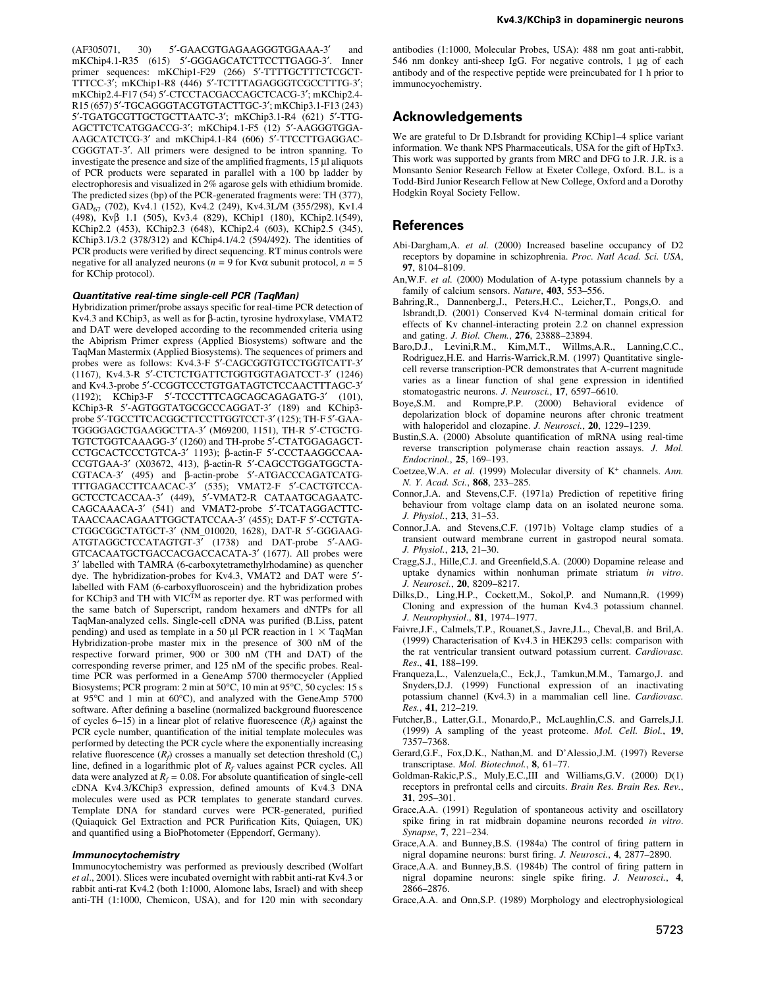(AF305071, 30) 5'-GAACGTGAGAAGGGTGGAAA-3' and mKChip4.1-R35 (615) 5'-GGGAGCATCTTCCTTGAGG-3'. Inner primer sequences: mKChip1-F29 (266) 5'-TTTTGCTTTCTCGCT-TTTCC-3'; mKChip1-R8 (446) 5'-TCTTTAGAGGGTCGCCTTTG-3'; mKChip2.4-F17 (54) 5'-CTCCTACGACCAGCTCACG-3'; mKChip2.4-R15 (657) 5'-TGCAGGGTACGTGTACTTGC-3'; mKChip3.1-F13 (243) 5¢-TGATGCGTTGCTGCTTAATC-3¢; mKChip3.1-R4 (621) 5¢-TTG-AGCTTCTCATGGACCG-3'; mKChip4.1-F5 (12) 5'-AAGGGTGGA-AAGCATCTCG-3' and mKChip4.1-R4 (606) 5'-TTCCTTGAGGAC-CGGGTAT-3'. All primers were designed to be intron spanning. To investigate the presence and size of the amplified fragments,  $15 \mu$ l aliquots of PCR products were separated in parallel with a 100 bp ladder by electrophoresis and visualized in 2% agarose gels with ethidium bromide. The predicted sizes (bp) of the PCR-generated fragments were: TH (377), GAD67 (702), Kv4.1 (152), Kv4.2 (249), Kv4.3L/M (355/298), Kv1.4 (498), Kvb 1.1 (505), Kv3.4 (829), KChip1 (180), KChip2.1(549), KChip2.2 (453), KChip2.3 (648), KChip2.4 (603), KChip2.5 (345), KChip3.1/3.2 (378/312) and KChip4.1/4.2 (594/492). The identities of PCR products were verified by direct sequencing. RT minus controls were negative for all analyzed neurons ( $n = 9$  for Kv $\alpha$  subunit protocol,  $n = 5$ for KChip protocol).

#### Quantitative real-time single-cell PCR (TaqMan)

Hybridization primer/probe assays specific for real-time PCR detection of Kv4.3 and KChip3, as well as for  $\beta$ -actin, tyrosine hydroxylase, VMAT2 and DAT were developed according to the recommended criteria using the Abiprism Primer express (Applied Biosystems) software and the TaqMan Mastermix (Applied Biosystems). The sequences of primers and probes were as follows: Kv4.3-F 5'-CAGCGGTGTCCTGGTCATT-3' (1167), Kv4.3-R 5'-CTCTCTGATTCTGGTGGTAGATCCT-3' (1246) and Kv4.3-probe 5'-CCGGTCCCTGTGATAGTCTCCAACTTTAGC-3' (1192); KChip3-F 5'-TCCCTTTCAGCAGCAGAGATG-3' (101), KChip3-R 5'-AGTGGTATGCGCCCAGGAT-3' (189) and KChip3probe 5'-TGCCTTCACGGCTTCCTTGGTCCT-3' (125); TH-F 5'-GAA-TGGGGAGCTGAAGGCTTA-3' (M69200, 1151), TH-R 5'-CTGCTG-TGTCTGGTCAAAGG-3' (1260) and TH-probe 5'-CTATGGAGAGCT-CCTGCACTCCCTGTCA-3' 1193); β-actin-F 5'-CCCTAAGGCCAA-CCGTGAA-3' (X03672, 413), β-actin-R 5'-CAGCCTGGATGGCTA-CGTACA-3' (495) and  $\beta$ -actin-probe 5'-ATGACCCAGATCATG-TTTGAGACCTTCAACAC-3' (535); VMAT2-F 5'-CACTGTCCA-GCTCCTCACCAA-3¢ (449), 5¢-VMAT2-R CATAATGCAGAATC-CAGCAAACA-3' (541) and VMAT2-probe 5'-TCATAGGACTTC-TAACCAACAGAATTGGCTATCCAA-3' (455); DAT-F 5'-CCTGTA-CTGGCGGCTATGCT-3' (NM\_010020, 1628), DAT-R 5'-GGGAAG-ATGTAGGCTCCATAGTGT-3' (1738) and DAT-probe 5'-AAG-GTCACAATGCTGACCACGACCACATA-3' (1677). All probes were 3¢ labelled with TAMRA (6-carboxytetramethylrhodamine) as quencher dye. The hybridization-probes for Kv4.3, VMAT2 and DAT were 5'labelled with FAM (6-carboxyfluoroscein) and the hybridization probes for KChip3 and TH with VIC<sup>TM</sup> as reporter dye. RT was performed with the same batch of Superscript, random hexamers and dNTPs for all TaqMan-analyzed cells. Single-cell cDNA was purified (B.Liss, patent pending) and used as template in a 50  $\mu$ l PCR reaction in 1  $\times$  TaqMan Hybridization-probe master mix in the presence of 300 nM of the respective forward primer, 900 or 300 nM (TH and DAT) of the corresponding reverse primer, and 125 nM of the specific probes. Realtime PCR was performed in a GeneAmp 5700 thermocycler (Applied Biosystems; PCR program: 2 min at 50°C, 10 min at 95°C, 50 cycles: 15 s at 95°C and 1 min at 60°C), and analyzed with the GeneAmp 5700 software. After defining a baseline (normalized background fluorescence of cycles 6–15) in a linear plot of relative fluorescence  $(R_f)$  against the PCR cycle number, quantification of the initial template molecules was performed by detecting the PCR cycle where the exponentially increasing relative fluorescence  $(R_f)$  crosses a manually set detection threshold  $(C_t)$ line, defined in a logarithmic plot of  $R_f$  values against PCR cycles. All data were analyzed at  $R_f = 0.08$ . For absolute quantification of single-cell cDNA Kv4.3/KChip3 expression, defined amounts of Kv4.3 DNA molecules were used as PCR templates to generate standard curves. Template DNA for standard curves were PCR-generated, purified (Quiaquick Gel Extraction and PCR Purification Kits, Quiagen, UK) and quantified using a BioPhotometer (Eppendorf, Germany).

#### Immunocytochemistry

Immunocytochemistry was performed as previously described (Wolfart et al., 2001). Slices were incubated overnight with rabbit anti-rat Kv4.3 or rabbit anti-rat Kv4.2 (both 1:1000, Alomone labs, Israel) and with sheep anti-TH (1:1000, Chemicon, USA), and for 120 min with secondary

antibodies (1:1000, Molecular Probes, USA): 488 nm goat anti-rabbit,  $546$  nm donkey anti-sheep IgG. For negative controls, 1  $\mu$ g of each antibody and of the respective peptide were preincubated for 1 h prior to immunocyochemistry.

## Acknowledgements

We are grateful to Dr D.Isbrandt for providing KChip1-4 splice variant information. We thank NPS Pharmaceuticals, USA for the gift of HpTx3. This work was supported by grants from MRC and DFG to J.R. J.R. is a Monsanto Senior Research Fellow at Exeter College, Oxford. B.L. is a Todd-Bird Junior Research Fellow at New College, Oxford and a Dorothy Hodgkin Royal Society Fellow.

#### **References**

- Abi-Dargham,A. et al. (2000) Increased baseline occupancy of D2 receptors by dopamine in schizophrenia. Proc. Natl Acad. Sci. USA, 97, 8104-8109.
- An,W.F. et al. (2000) Modulation of A-type potassium channels by a family of calcium sensors. Nature,  $403$ ,  $553-556$ .
- Bahring,R., Dannenberg,J., Peters,H.C., Leicher,T., Pongs,O. and Isbrandt,D. (2001) Conserved Kv4 N-terminal domain critical for effects of Kv channel-interacting protein 2.2 on channel expression and gating. J. Biol. Chem., 276, 23888-23894.
- Baro,D.J., Levini,R.M., Kim,M.T., Willms,A.R., Lanning,C.C., Rodriguez,H.E. and Harris-Warrick,R.M. (1997) Quantitative singlecell reverse transcription-PCR demonstrates that A-current magnitude varies as a linear function of shal gene expression in identified stomatogastric neurons. J. Neurosci., 17, 6597-6610.
- Boye,S.M. and Rompre,P.P. (2000) Behavioral evidence of depolarization block of dopamine neurons after chronic treatment with haloperidol and clozapine. J. Neurosci., 20, 1229-1239.
- Bustin, S.A. (2000) Absolute quantification of mRNA using real-time reverse transcription polymerase chain reaction assays. J. Mol. Endocrinol., 25, 169-193.
- Coetzee, W.A. et al. (1999) Molecular diversity of K<sup>+</sup> channels. Ann. N. Y. Acad. Sci., 868, 233-285.
- Connor, J.A. and Stevens, C.F. (1971a) Prediction of repetitive firing behaviour from voltage clamp data on an isolated neurone soma. J. Physiol., 213, 31-53.
- Connor,J.A. and Stevens,C.F. (1971b) Voltage clamp studies of a transient outward membrane current in gastropod neural somata. J. Physiol., 213, 21-30.
- Cragg, S.J., Hille, C.J. and Greenfield, S.A. (2000) Dopamine release and uptake dynamics within nonhuman primate striatum in vitro. J. Neurosci., 20, 8209-8217.
- Dilks,D., Ling,H.P., Cockett,M., Sokol,P. and Numann,R. (1999) Cloning and expression of the human Kv4.3 potassium channel. J. Neurophysiol., 81, 1974-1977.
- Faivre,J.F., Calmels,T.P., Rouanet,S., Javre,J.L., Cheval,B. and Bril,A. (1999) Characterisation of Kv4.3 in HEK293 cells: comparison with the rat ventricular transient outward potassium current. Cardiovasc. Res., 41, 188-199.
- Franqueza,L., Valenzuela,C., Eck,J., Tamkun,M.M., Tamargo,J. and Snyders,D.J. (1999) Functional expression of an inactivating potassium channel (Kv4.3) in a mammalian cell line. Cardiovasc. Res., 41, 212-219.
- Futcher,B., Latter,G.I., Monardo,P., McLaughlin,C.S. and Garrels,J.I. (1999) A sampling of the yeast proteome. Mol. Cell. Biol., 19, 7357±7368.
- Gerard,G.F., Fox,D.K., Nathan,M. and D'Alessio,J.M. (1997) Reverse transcriptase. Mol. Biotechnol., 8, 61-77.
- Goldman-Rakic,P.S., Muly,E.C.,III and Williams,G.V. (2000) D(1) receptors in prefrontal cells and circuits. Brain Res. Brain Res. Rev., 31, 295-301.
- Grace,A.A. (1991) Regulation of spontaneous activity and oscillatory spike firing in rat midbrain dopamine neurons recorded in vitro. Synapse, 7, 221-234.
- Grace,A.A. and Bunney,B.S. (1984a) The control of firing pattern in nigral dopamine neurons: burst firing. J. Neurosci., 4, 2877-2890.
- Grace, A.A. and Bunney, B.S. (1984b) The control of firing pattern in nigral dopamine neurons: single spike firing. J. Neurosci., 4, 2866±2876.
- Grace,A.A. and Onn,S.P. (1989) Morphology and electrophysiological